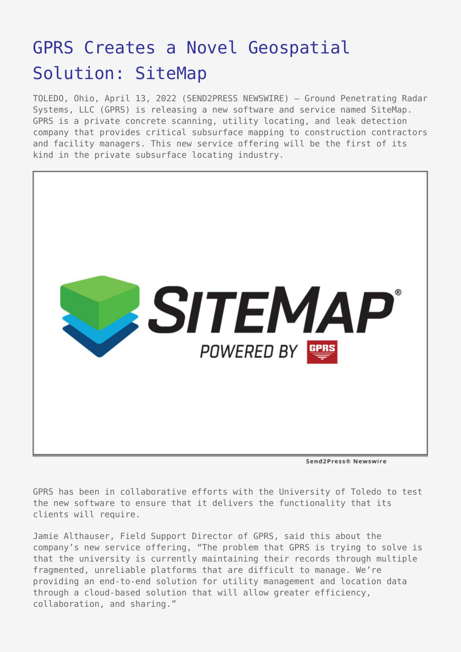## [GPRS Creates a Novel Geospatial](https://www.send2press.com/wire/gprs-creates-a-novel-geospatial-solution-sitemap/) [Solution: SiteMap](https://www.send2press.com/wire/gprs-creates-a-novel-geospatial-solution-sitemap/)

TOLEDO, Ohio, April 13, 2022 (SEND2PRESS NEWSWIRE) — Ground Penetrating Radar Systems, LLC (GPRS) is releasing a new software and service named SiteMap. GPRS is a private concrete scanning, utility locating, and leak detection company that provides critical subsurface mapping to construction contractors and facility managers. This new service offering will be the first of its kind in the private subsurface locating industry.



Send2Press® Newswire

GPRS has been in collaborative efforts with the University of Toledo to test the new software to ensure that it delivers the functionality that its clients will require.

Jamie Althauser, Field Support Director of GPRS, said this about the company's new service offering, "The problem that GPRS is trying to solve is that the university is currently maintaining their records through multiple fragmented, unreliable platforms that are difficult to manage. We're providing an end-to-end solution for utility management and location data through a cloud-based solution that will allow greater efficiency, collaboration, and sharing."